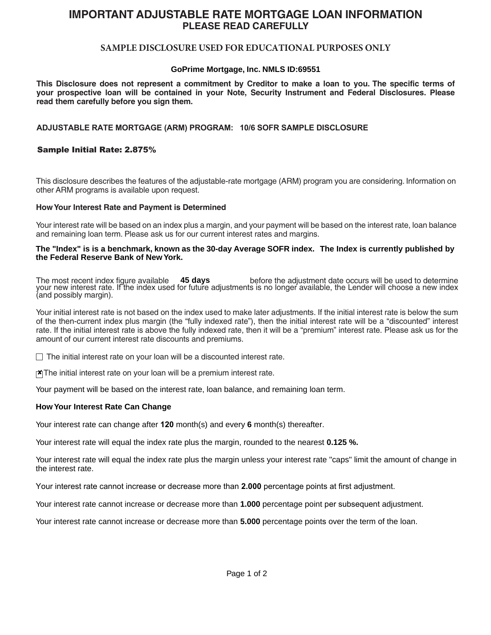# **IMPORTANT ADJUSTABLE RATE MORTGAGE LOAN INFORMATION PLEASE READ CAREFULLY**

# **SAMPLE DISCLOSURE USED FOR EDUCATIONAL PURPOSES ONLY**

# **GoPrime Mortgage, Inc. NMLS ID:69551**

This Disclosure does not represent a commitment by Creditor to make a loan to you. The specific terms of **your prospective loan will be contained in your Note, Security Instrument and Federal Disclosures. Please read them carefully before you sign them.**

## **ADJUSTABLE RATE MORTGAGE (ARM) PROGRAM: 10/6 SOFR SAMPLE DISCLOSURE**

### Sample Initial Rate: 2.875%

This disclosure describes the features of the adjustable-rate mortgage (ARM) program you are considering. Information on other ARM programs is available upon request.

#### **How Your Interest Rate and Payment is Determined**

Your interest rate will be based on an index plus a margin, and your payment will be based on the interest rate, loan balance and remaining loan term. Please ask us for our current interest rates and margins.

#### **The "Index" is is a benchmark, known as the 30-day Average SOFR index. The Index is currently published by the Federal Reserve Bank of New York.**

The most recent index figure available **45 days** before the adjustment date occurs will be used to determine your new interest rate. If the index used for future adjustments is no longer available, the Lender will choose a new index (and possibly margin).

Your initial interest rate is not based on the index used to make later adjustments. If the initial interest rate is below the sum of the then-current index plus margin (the "fully indexed rate"), then the initial interest rate will be a "discounted" interest rate. If the initial interest rate is above the fully indexed rate, then it will be a "premium" interest rate. Please ask us for the amount of our current interest rate discounts and premiums.

 $\Box$  The initial interest rate on your loan will be a discounted interest rate.

 $\mathbf{X}$  The initial interest rate on your loan will be a premium interest rate.

Your payment will be based on the interest rate, loan balance, and remaining loan term.

#### **How Your Interest Rate Can Change**

Your interest rate can change after **120** month(s) and every **6** month(s) thereafter.

Your interest rate will equal the index rate plus the margin, rounded to the nearest **0.125 %.**

Your interest rate will equal the index rate plus the margin unless your interest rate "caps" limit the amount of change in the interest rate.

Your interest rate cannot increase or decrease more than **2.000** percentage points at first adjustment.

Your interest rate cannot increase or decrease more than **1.000** percentage point per subsequent adjustment.

Your interest rate cannot increase or decrease more than **5.000** percentage points over the term of the loan.